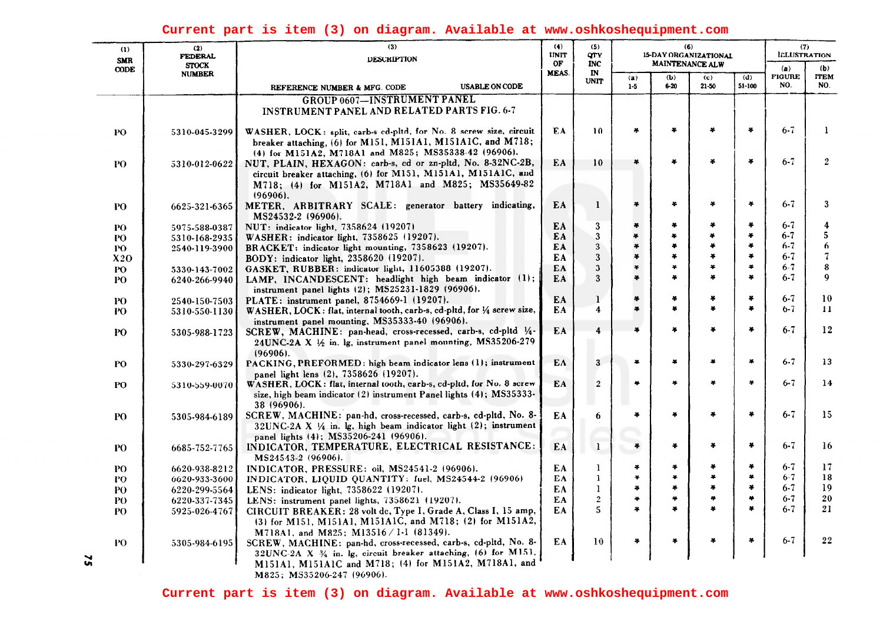## **Current part is item (3) on diagram. Available at www.oshkoshequipment.com**

| (1)<br><b>SMR</b><br><b>CODE</b> | (2)<br><b>FEDERAL</b><br><b>STOCK</b><br><b>NUMBER</b> | (3)<br><b>DESCRIPTION</b>                                                                                                                      | (4)<br><b>UNIT</b><br>OF<br>MEAS. | (5)<br>QTY<br><b>INC</b><br>$\mathbf{I}$ N | (6)<br>15-DAY ORGANIZATIONAL<br>MAINTENANCE ALW |               |              |                        | (7)<br><b>ILLUSTRATION</b> |                    |
|----------------------------------|--------------------------------------------------------|------------------------------------------------------------------------------------------------------------------------------------------------|-----------------------------------|--------------------------------------------|-------------------------------------------------|---------------|--------------|------------------------|----------------------------|--------------------|
|                                  |                                                        |                                                                                                                                                |                                   |                                            | (a)                                             | (b)           | (d)<br>(c)   |                        | (a)<br><b>FIGURE</b>       | (b)<br><b>ITEM</b> |
|                                  |                                                        | <b>USABLE ON CODE</b><br>REFERENCE NUMBER & MFG. CODE                                                                                          |                                   | <b>UNIT</b>                                | $1-5$                                           | $6 - 20$      | $21 - 50$    | 51-100                 | NO.                        | NO.                |
|                                  |                                                        | <b>GROUP 0607-INSTRUMENT PANEL</b>                                                                                                             |                                   |                                            |                                                 |               |              |                        |                            |                    |
|                                  |                                                        | INSTRUMENT PANEL AND RELATED PARTS FIG. 6-7                                                                                                    |                                   |                                            |                                                 |               |              |                        |                            |                    |
| PO                               | 5310-045-3299                                          | WASHER, LOCK: split, carb-s cd-pltd, for No. 8 screw size, circuit                                                                             | EA.                               | 10 <sup>°</sup>                            | $\frac{16}{3}$                                  | ¥             | 26           | ¥                      | $6 - 7$                    | 1                  |
|                                  |                                                        | breaker attaching, (6) for M151, M151A1, M151A1C, and M718;<br>(4) for M151A2, M718A1 and M825; MS35338-42 (96906).                            |                                   |                                            |                                                 |               |              |                        |                            |                    |
| PO.                              | 5310-012-0622                                          | NUT, PLAIN, HEXAGON: carb-s, ed or zn-pltd, No. 8-32NC-2B,                                                                                     | EA                                | 10                                         | ¥                                               | *             | æ.           | $\frac{1}{2}$          | $6 - 7$                    | $\mathbf{2}$       |
|                                  |                                                        | circuit breaker attaching, (6) for M151, M151A1, M151A1C, and                                                                                  |                                   |                                            |                                                 |               |              |                        |                            |                    |
|                                  |                                                        | M718; (4) for M151A2, M718A1 and M825; MS35649-82<br>$(96906)$ .                                                                               |                                   |                                            |                                                 |               |              |                        |                            |                    |
| P <sub>0</sub>                   | 6625-321-6365                                          | METER, ARBITRARY SCALE: generator battery indicating,<br>MS24532-2 (96906).                                                                    | EA                                | 1                                          | $\bullet$                                       | ÷             | ¥            | $\ast$                 | $6 - 7$                    | 3                  |
| PO.                              | 5975-588-0387                                          | NUT: indicator light, 7358624 (19207)                                                                                                          | EA.                               | 3                                          | $\mathbf{x}$                                    | ¥.            | ¥            | $\frac{1}{2}$          | $6 - 7$                    | 4                  |
| PO-                              | 5310-168-2935                                          | WASHER: indicator light, 7358625 (19207).                                                                                                      | EA                                | 3                                          | ¥                                               | ¥.            | ¥            | $\bullet$              | $6 - 7$                    | 5                  |
| PO.                              | 2540-119-3900                                          | BRACKET: indicator light mounting, 7358623 (19207).                                                                                            | EA                                | 3                                          | $\frac{1}{2}$                                   | ¥.            | ×            | $\frac{1}{2}$          | $6 - 7$                    | 6                  |
| X2O                              |                                                        | BODY: indicator light, 2358620 (19207).                                                                                                        | EA                                | 3                                          | $\ast$                                          | ¥             | ÷            | $\frac{1}{2}$          | $6 - 7$                    | $\sqrt{7}$         |
| PO                               | 5330-143-7002                                          | GASKET, RUBBER: indicator light, 11605388 (19207).                                                                                             | EA                                | 3                                          | ¥                                               | ¥             | ¥<br>¥.      | $\bullet$<br>$\bullet$ | $6 - 7$                    | 8                  |
| PО                               | 6240-266-9940                                          | LAMP, INCANDESCENT: headlight high beam indicator (1);<br>instrument panel lights (2); MS25231-1829 (96906).                                   | EΑ                                | 3                                          | $\frac{1}{2}$                                   | ¥             |              |                        | $6 - 7$                    | 9                  |
| PO.                              | 2540-150-7503                                          | PLATE: instrument panel, 8754669-1 (19207).                                                                                                    | EA                                | 1                                          | $\ast$                                          | $\frac{1}{2}$ | ¥            | $\frac{1}{2}$          | $6 - 7$                    | 10                 |
| PO                               | 5310-550-1130                                          | WASHER, LOCK: flat, internal tooth, carb-s, cd-pltd, for 1/4 screw size,<br>instrument panel mounting, MS35333-40 (96906).                     | EA                                | 4                                          | $\bullet$                                       | ¥             | ¥            | $\bullet$              | $6 - 7$                    | 11                 |
| PO                               | 5305-988-1723                                          | SCREW, MACHINE: pan-head, cross-recessed, carb-s, cd-pltd 1/4-<br>24UNC-2A X 1/2 in. lg, instrument panel mounting, MS35206-279<br>$(96906)$ . | EA                                | 4                                          | $\boldsymbol{x}$                                | ¥             | ÷            | $\clubsuit$            | $6 - 7$                    | 12                 |
| PO.                              | 5330-297-6329                                          | PACKING, PREFORMED: high beam indicator lens (1); instrument<br>panel light lens (2), 7358626 (19207).                                         | EA                                | 3                                          | $\ast$                                          | ¥             | 4            | $\clubsuit$            | $6 - 7$                    | 13                 |
| PO                               | 5310-559-0070                                          | WASHER, LOCK: flat, internal tooth, carb-s, cd-pltd, for No. 8 screw                                                                           | EA                                | $\boldsymbol{2}$                           | $\bullet$                                       | ¥             | ×            | $\mathbf{v}$           | $6 - 7$                    | 14                 |
|                                  |                                                        | size, high beam indicator (2) instrument Panel lights (4); MS35333-<br>38 (96906).                                                             |                                   |                                            |                                                 |               |              |                        |                            |                    |
| PO.                              | 5305-984-6189                                          | SCREW, MACHINE: pan-hd, cross-recessed, carb-s, cd-pltd, No. 8-                                                                                | EA                                | 6                                          | $\bullet$                                       | $\frac{1}{2}$ | ¥            | $\bullet$              | $6 - 7$                    | 15                 |
|                                  |                                                        | 32UNC-2A X 1/4 in. lg, high beam indicator light (2); instrument                                                                               |                                   |                                            |                                                 |               |              |                        |                            |                    |
|                                  |                                                        | panel lights (4); MS35206-241 (96906).                                                                                                         |                                   |                                            |                                                 |               |              |                        |                            |                    |
| PO                               | 6685-752-7765                                          | INDICATOR, TEMPERATURE, ELECTRICAL RESISTANCE:<br>MS24543-2 (96906).                                                                           | EA                                | $\mathbf{1}$                               | $\frac{1}{2}$                                   | ÷             | ¥            | $\bullet$              | $6 - 7$                    | 16                 |
| PO                               | 6620-938-8212                                          | INDICATOR, PRESSURE: oil, MS24541-2 (96906).                                                                                                   | EA                                | 1                                          | $\bullet$                                       | ¥             | ¥            | ¥                      | $6 - 7$                    | 17                 |
| PО                               | 6620-933-3600                                          | INDICATOR, LIQUID QUANTITY: fuel, MS24544-2 (96906)                                                                                            | EA                                | 1                                          | $\clubsuit$                                     | ¥             | ¥            | $\frac{1}{2}$          | $6 - 7$                    | 18                 |
| PO                               | 6220-299-5564                                          | LENS: indicator light, 7358622 (19207).                                                                                                        | EA                                | 1                                          | $\frac{1}{2}$                                   | ¥             | ×            | $\clubsuit$            | $6 - 7$                    | 19                 |
| PO.                              | 6220-337-7345                                          | LENS: instrument panel lights, 7358621 (19207).                                                                                                | EA                                | $\mathbf{2}$                               | $\mathcal{L}_{\mathbf{p}}$                      | ą.            | 苧            | $\bullet$              | $6 - 7$                    | ${\bf 20}$         |
| PO.                              | 5925-026-4767                                          | CIRCUIT BREAKER: 28 volt dc, Type I, Grade A, Class I, 15 amp,<br>(3) for M151, M151A1, M151A1C, and M718; (2) for M151A2,                     | EA                                | 5                                          | $\bullet$                                       | ¥             | $\mathbf{a}$ | ×                      | $6 - 7$                    | 21                 |
|                                  |                                                        | M718A1, and M825; M13516 / 1-1 (81349).                                                                                                        |                                   |                                            |                                                 |               |              | $\ast$                 |                            | 22                 |
| PO                               | 5305-984-6195                                          | SCREW, MACHINE: pan-hd, cross-recessed, carb-s, cd-pltd, No. 8-<br>32UNC-2A X 34 in. lg, circuit breaker attaching, (6) for M151,              | EA                                | 10                                         | $\ast$                                          | ¥             |              |                        | $6 - 7$                    |                    |
|                                  |                                                        | M151A1, M151A1C and M718; (4) for M151A2, M718A1, and                                                                                          |                                   |                                            |                                                 |               |              |                        |                            |                    |

M825; MS35206-247 (96906).

 $\mathbf{r}$